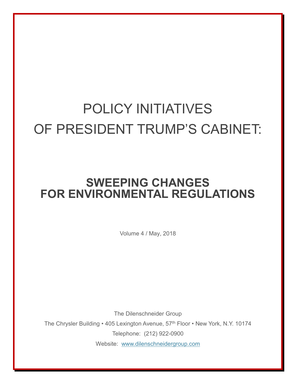## POLICY INITIATIVES OF PRESIDENT TRUMP'S CABINET:

## **SWEEPING CHANGES FOR ENVIRONMENTAL REGULATIONS**

Volume 4 / May, 2018

The Dilenschneider Group The Chrysler Building • 405 Lexington Avenue, 57<sup>th</sup> Floor • New York, N.Y. 10174 Telephone: (212) 922-0900 Website: [www.dilenschneidergroup.com](http://www.dilenschneidergroup.com/)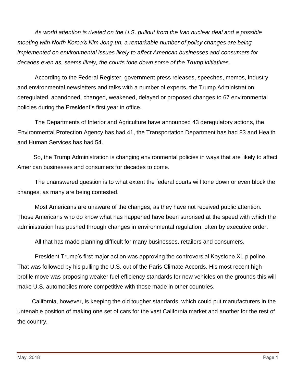*As world attention is riveted on the U.S. pullout from the Iran nuclear deal and a possible meeting with North Korea's Kim Jong-un, a remarkable number of policy changes are being implemented on environmental issues likely to affect American businesses and consumers for decades even as, seems likely, the courts tone down some of the Trump initiatives.*

According to the Federal Register, government press releases, speeches, memos, industry and environmental newsletters and talks with a number of experts, the Trump Administration deregulated, abandoned, changed, weakened, delayed or proposed changes to 67 environmental policies during the President's first year in office.

The Departments of Interior and Agriculture have announced 43 deregulatory actions, the Environmental Protection Agency has had 41, the Transportation Department has had 83 and Health and Human Services has had 54.

 So, the Trump Administration is changing environmental policies in ways that are likely to affect American businesses and consumers for decades to come.

The unanswered question is to what extent the federal courts will tone down or even block the changes, as many are being contested.

Most Americans are unaware of the changes, as they have not received public attention. Those Americans who do know what has happened have been surprised at the speed with which the administration has pushed through changes in environmental regulation, often by executive order.

All that has made planning difficult for many businesses, retailers and consumers.

President Trump's first major action was approving the controversial Keystone XL pipeline. That was followed by his pulling the U.S. out of the Paris Climate Accords. His most recent highprofile move was proposing weaker fuel efficiency standards for new vehicles on the grounds this will make U.S. automobiles more competitive with those made in other countries.

 California, however, is keeping the old tougher standards, which could put manufacturers in the untenable position of making one set of cars for the vast California market and another for the rest of the country.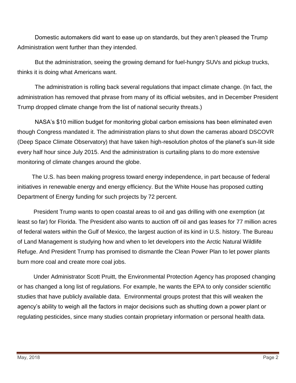Domestic automakers did want to ease up on standards, but they aren't pleased the Trump Administration went further than they intended.

But the administration, seeing the growing demand for fuel-hungry SUVs and pickup trucks, thinks it is doing what Americans want.

The administration is rolling back several regulations that impact climate change. (In fact, the administration has removed that phrase from many of its official websites, and in December President Trump dropped climate change from the list of national security threats.)

NASA's \$10 million budget for monitoring global carbon emissions has been eliminated even though Congress mandated it. The administration plans to shut down the cameras aboard DSCOVR (Deep Space Climate Observatory) that have taken high-resolution photos of the planet's sun-lit side every half hour since July 2015. And the administration is curtailing plans to do more extensive monitoring of climate changes around the globe.

 The U.S. has been making progress toward energy independence, in part because of federal initiatives in renewable energy and energy efficiency. But the White House has proposed cutting Department of Energy funding for such projects by 72 percent.

 President Trump wants to open coastal areas to oil and gas drilling with one exemption (at least so far) for Florida. The President also wants to auction off oil and gas leases for 77 million acres of federal waters within the Gulf of Mexico, the largest auction of its kind in U.S. history. The Bureau of Land Management is studying how and when to let developers into the Arctic Natural Wildlife Refuge. And President Trump has promised to dismantle the Clean Power Plan to let power plants burn more coal and create more coal jobs.

 Under Administrator Scott Pruitt, the Environmental Protection Agency has proposed changing or has changed a long list of regulations. For example, he wants the EPA to only consider scientific studies that have publicly available data. Environmental groups protest that this will weaken the agency's ability to weigh all the factors in major decisions such as shutting down a power plant or regulating pesticides, since many studies contain proprietary information or personal health data.